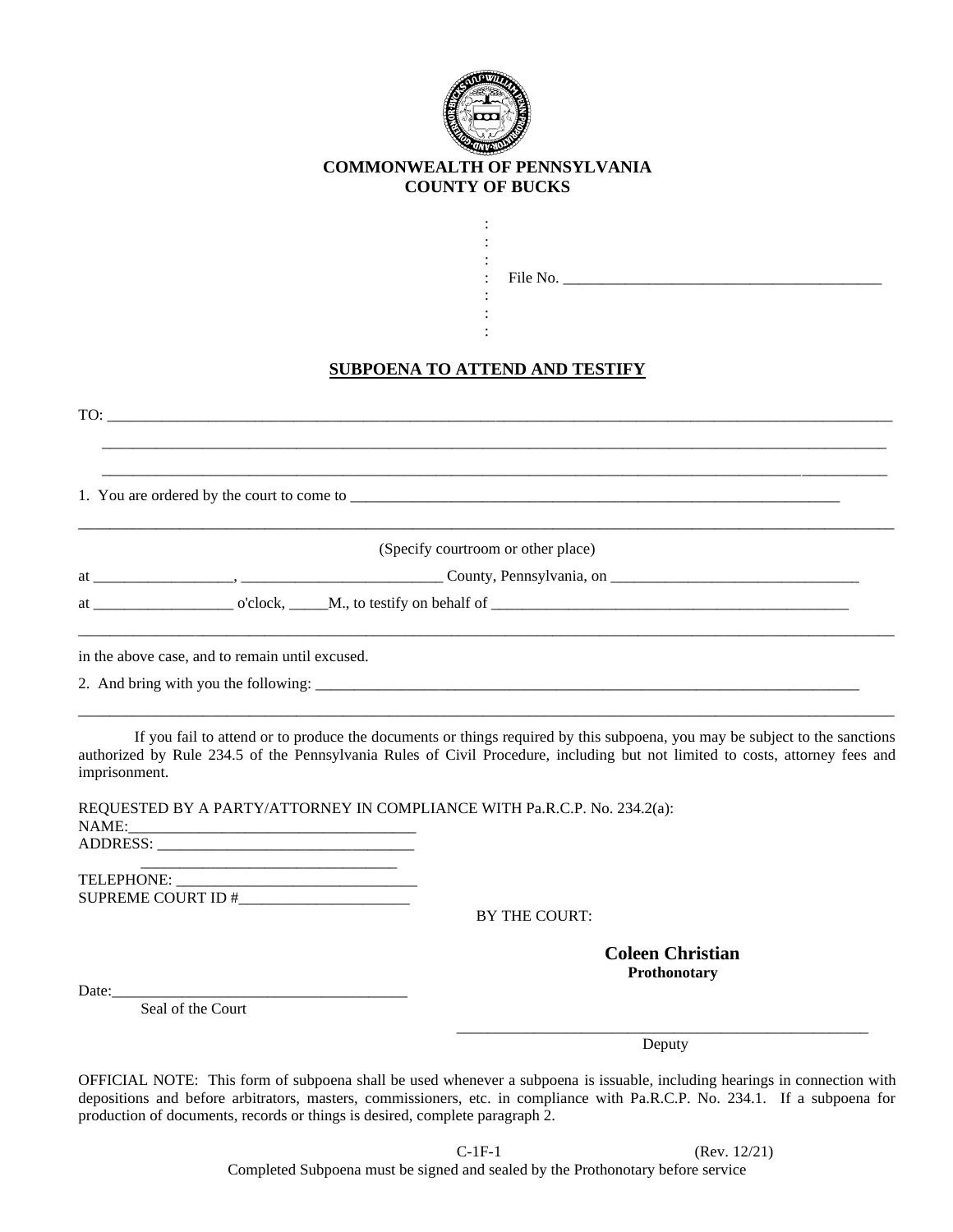

## **COMMONWEALTH OF PENNSYLVANIA COUNTY OF BUCKS**

: :

: : :

| File |  |
|------|--|

: File No. \_\_\_\_\_\_\_\_\_\_\_\_\_\_\_\_\_\_\_\_\_\_\_\_\_\_\_\_\_\_\_\_\_\_\_\_\_\_\_\_\_

## **SUBPOENA TO ATTEND AND TESTIFY**

| TO:                                                                                                                                                                                                                            |
|--------------------------------------------------------------------------------------------------------------------------------------------------------------------------------------------------------------------------------|
|                                                                                                                                                                                                                                |
| (Specify courtroom or other place)                                                                                                                                                                                             |
| at contract of clock, Communication behalf of Communication of Allian Communication of the contract of the communication of the contract of the contract of the contract of the contract of the contract of the contract of th |
| in the above case, and to remain until excused.                                                                                                                                                                                |
|                                                                                                                                                                                                                                |

If you fail to attend or to produce the documents or things required by this subpoena, you may be subject to the sanctions authorized by Rule 234.5 of the Pennsylvania Rules of Civil Procedure, including but not limited to costs, attorney fees and imprisonment.

REQUESTED BY A PARTY/ATTORNEY IN COMPLIANCE WITH Pa.R.C.P. No. 234.2(a):

NAME:\_\_\_\_\_\_\_\_\_\_\_\_\_\_\_\_\_\_\_\_\_\_\_\_\_\_\_\_\_\_\_\_\_\_\_\_\_

ADDRESS: \_\_\_\_\_\_\_\_\_\_\_\_\_\_\_\_\_\_\_\_\_\_\_\_\_\_\_\_\_\_\_\_\_

 $\overline{\phantom{a}}$  ,  $\overline{\phantom{a}}$  ,  $\overline{\phantom{a}}$  ,  $\overline{\phantom{a}}$  ,  $\overline{\phantom{a}}$  ,  $\overline{\phantom{a}}$  ,  $\overline{\phantom{a}}$  ,  $\overline{\phantom{a}}$  ,  $\overline{\phantom{a}}$  ,  $\overline{\phantom{a}}$  ,  $\overline{\phantom{a}}$  ,  $\overline{\phantom{a}}$  ,  $\overline{\phantom{a}}$  ,  $\overline{\phantom{a}}$  ,  $\overline{\phantom{a}}$  ,  $\overline{\phantom{a}}$ TELEPHONE: \_\_\_\_\_\_\_\_\_\_\_\_\_\_\_\_\_\_\_\_\_\_\_\_\_\_\_\_\_\_\_ SUPREME COURT ID #\_\_\_\_\_\_\_\_\_\_\_\_\_\_\_\_\_\_\_\_\_\_

BY THE COURT:

 **Coleen Christian Prothonotary**

Date: $\_$ 

Seal of the Court

\_\_\_\_\_\_\_\_\_\_\_\_\_\_\_\_\_\_\_\_\_\_\_\_\_\_\_\_\_\_\_\_\_\_\_\_\_\_\_\_\_\_\_\_\_\_\_\_\_\_\_\_\_ Deputy Deputy

OFFICIAL NOTE: This form of subpoena shall be used whenever a subpoena is issuable, including hearings in connection with depositions and before arbitrators, masters, commissioners, etc. in compliance with Pa.R.C.P. No. 234.1. If a subpoena for production of documents, records or things is desired, complete paragraph 2.

> C-1F-1 (Rev. 12/21) Completed Subpoena must be signed and sealed by the Prothonotary before service